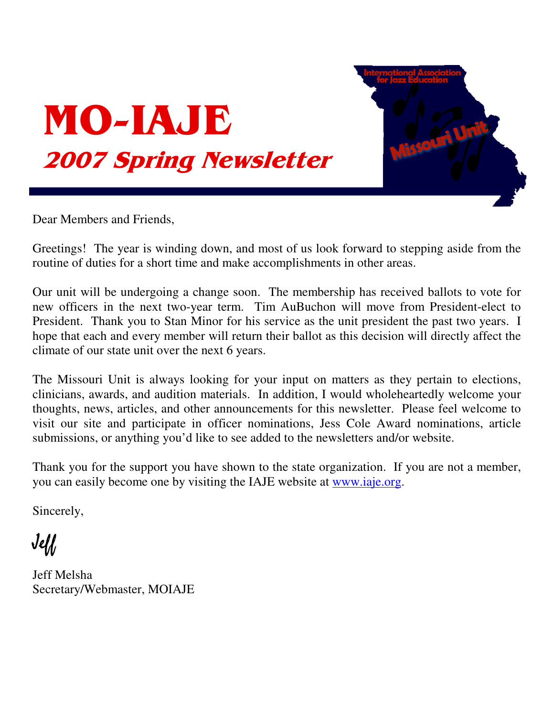



Dear Members and Friends,

Greetings! The year is winding down, and most of us look forward to stepping aside from the routine of duties for a short time and make accomplishments in other areas.

Our unit will be undergoing a change soon. The membership has received ballots to vote for new officers in the next two-year term. Tim AuBuchon will move from President-elect to President. Thank you to Stan Minor for his service as the unit president the past two years. I hope that each and every member will return their ballot as this decision will directly affect the climate of our state unit over the next 6 years.

The Missouri Unit is always looking for your input on matters as they pertain to elections, clinicians, awards, and audition materials. In addition, I would wholeheartedly welcome your thoughts, news, articles, and other announcements for this newsletter. Please feel welcome to visit our site and participate in officer nominations, Jess Cole Award nominations, article submissions, or anything you'd like to see added to the newsletters and/or website.

Thank you for the support you have shown to the state organization. If you are not a member, you can easily become one by visiting the IAJE website at www.iaje.org.

Sincerely,

 $J$ e $\mathcal U$ 

Jeff Melsha Secretary/Webmaster, MOIAJE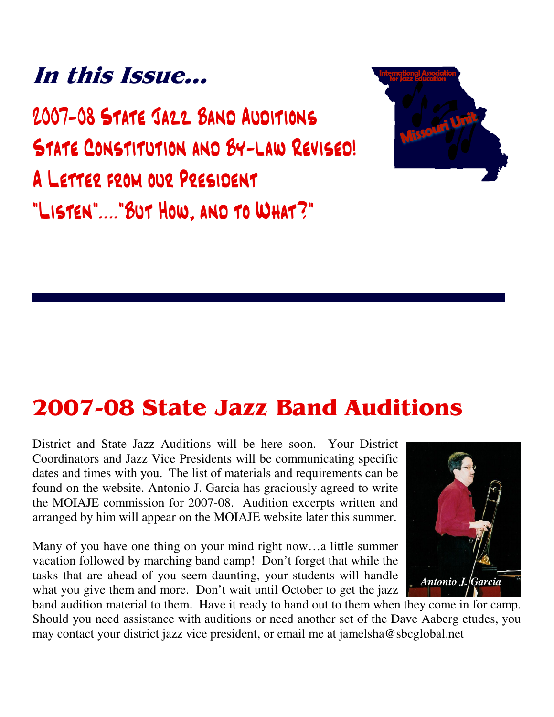## In this Issue...

2007-08 STATE JAZZ BAND AUDITIONS STATE CONSTITUTION AND BY-LAW REVISED! A LETTER FROM OUR PRESIDENT "LISTEN"...."BUT HOW, AND TO WHAT?"



## **2007-08 State Jazz Band Auditions**

District and State Jazz Auditions will be here soon. Your District Coordinators and Jazz Vice Presidents will be communicating specific dates and times with you. The list of materials and requirements can be found on the website. Antonio J. Garcia has graciously agreed to write the MOIAJE commission for 2007-08. Audition excerpts written and arranged by him will appear on the MOIAJE website later this summer.

Many of you have one thing on your mind right now…a little summer vacation followed by marching band camp! Don't forget that while the tasks that are ahead of you seem daunting, your students will handle what you give them and more. Don't wait until October to get the jazz



band audition material to them. Have it ready to hand out to them when they come in for camp. Should you need assistance with auditions or need another set of the Dave Aaberg etudes, you may contact your district jazz vice president, or email me at jamelsha@sbcglobal.net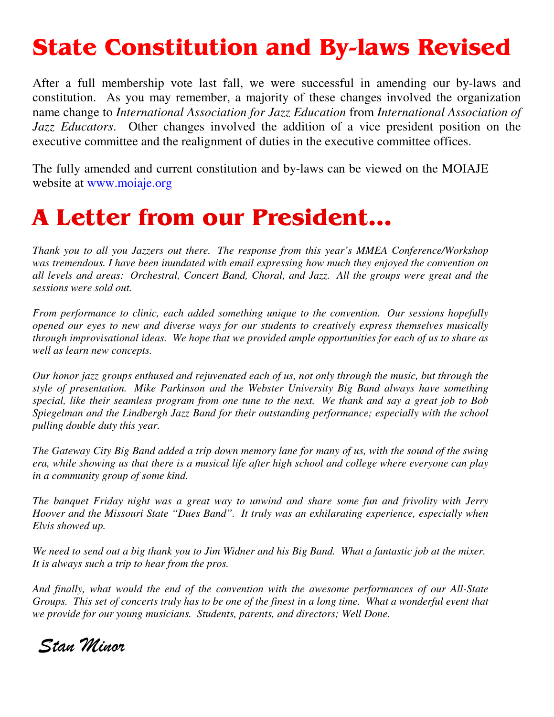# **State Constitution and By-laws Revised**

After a full membership vote last fall, we were successful in amending our by-laws and constitution. As you may remember, a majority of these changes involved the organization name change to *International Association for Jazz Education* from *International Association of Jazz Educators*. Other changes involved the addition of a vice president position on the executive committee and the realignment of duties in the executive committee offices.

The fully amended and current constitution and by-laws can be viewed on the MOIAJE website at <u>www.moiaje.org</u>

#### **A Letter from our President...**

*Thank you to all you Jazzers out there. The response from this year's MMEA Conference/Workshop was tremendous. I have been inundated with email expressing how much they enjoyed the convention on all levels and areas: Orchestral, Concert Band, Choral, and Jazz. All the groups were great and the sessions were sold out.*

*From performance to clinic, each added something unique to the convention. Our sessions hopefully opened our eyes to new and diverse ways for our students to creatively express themselves musically through improvisational ideas. We hope that we provided ample opportunities for each of us to share as well as learn new concepts.*

Our honor jazz groups enthused and rejuvenated each of us, not only through the music, but through the *style of presentation. Mike Parkinson and the Webster University Big Band always have something* special, like their seamless program from one tune to the next. We thank and say a great job to Bob *Spiegelman and the Lindbergh Jazz Band for their outstanding performance; especially with the school pulling double duty this year.*

The Gateway City Big Band added a trip down memory lane for many of us, with the sound of the swing era, while showing us that there is a musical life after high school and college where everyone can play *in a community group of some kind.*

*The banquet Friday night was a great way to unwind and share some fun and frivolity with Jerry Hoover and the Missouri State "Dues Band". It truly was an exhilarating experience, especially when Elvis showed up.*

We need to send out a big thank you to Jim Widner and his Big Band. What a fantastic job at the mixer. *It is always such a trip to hear from the pros.*

*And finally, what would the end of the convention with the awesome performances of our All-State* Groups. This set of concerts truly has to be one of the finest in a long time. What a wonderful event that *we provide for our young musicians. Students, parents, and directors; Well Done.*

Stan Minor